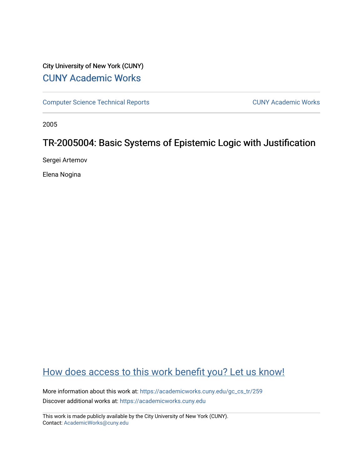# City University of New York (CUNY) [CUNY Academic Works](https://academicworks.cuny.edu/)

[Computer Science Technical Reports](https://academicworks.cuny.edu/gc_cs_tr) **CUNY Academic Works** CUNY Academic Works

2005

# TR-2005004: Basic Systems of Epistemic Logic with Justification

Sergei Artemov

Elena Nogina

# [How does access to this work benefit you? Let us know!](http://ols.cuny.edu/academicworks/?ref=https://academicworks.cuny.edu/gc_cs_tr/259)

More information about this work at: [https://academicworks.cuny.edu/gc\\_cs\\_tr/259](https://academicworks.cuny.edu/gc_cs_tr/259)  Discover additional works at: [https://academicworks.cuny.edu](https://academicworks.cuny.edu/?)

This work is made publicly available by the City University of New York (CUNY). Contact: [AcademicWorks@cuny.edu](mailto:AcademicWorks@cuny.edu)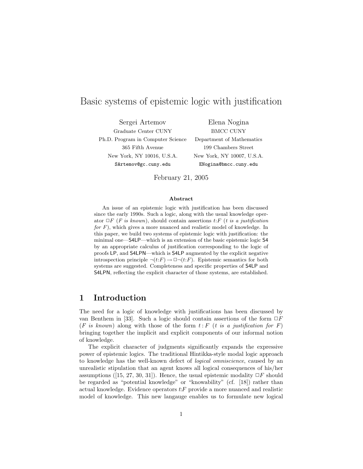## Basic systems of epistemic logic with justification

Sergei Artemov Elena Nogina Graduate Center CUNY BMCC CUNY Ph.D. Program in Computer Science Department of Mathematics 365 Fifth Avenue 199 Chambers Street New York, NY 10016, U.S.A. New York, NY 10007, U.S.A. SArtemov@gc.cuny.edu ENogina@bmcc.cuny.edu

February 21, 2005

### Abstract

An issue of an epistemic logic with justification has been discussed since the early 1990s. Such a logic, along with the usual knowledge operator  $\Box F$  (*F is known*), should contain assertions t: *F* (*t is a justification* for  $F$ ), which gives a more nuanced and realistic model of knowledge. In this paper, we build two systems of epistemic logic with justification: the minimal one—S4LP—which is an extension of the basic epistemic logic S4 by an appropriate calculus of justification corresponding to the logic of proofs LP, and S4LPN—which is S4LP augmented by the explicit negative introspection principle  $\neg(t:F) \rightarrow \Box \neg(t:F)$ . Epistemic semantics for both systems are suggested. Completeness and specific properties of S4LP and S4LPN, reflecting the explicit character of those systems, are established.

## 1 Introduction

The need for a logic of knowledge with justifications has been discussed by van Benthem in [33]. Such a logic should contain assertions of the form  $\Box F$  $(F \text{ is known})$  along with those of the form  $t : F$  (t is a justification for F) bringing together the implicit and explicit components of our informal notion of knowledge.

The explicit character of judgments significantly expands the expressive power of epistemic logics. The traditional Hintikka-style modal logic approach to knowledge has the well-known defect of logical omniscience, caused by an unrealistic stipulation that an agent knows all logical consequences of his/her assumptions ([15, 27, 30, 31]). Hence, the usual epistemic modality  $\Box F$  should be regarded as "potential knowledge" or "knowability" (cf. [18]) rather than actual knowledge. Evidence operators  $t$ : F provide a more nuanced and realistic model of knowledge. This new langauge enables us to formulate new logical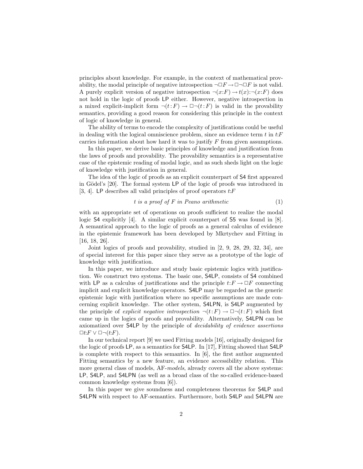principles about knowledge. For example, in the context of mathematical provability, the modal principle of negative introspection  $\neg \Box F \rightarrow \Box \neg \Box F$  is not valid. A purely explicit version of negative introspection  $\neg(x;F) \rightarrow t(x) : \neg(x;F)$  does not hold in the logic of proofs LP either. However, negative introspection in a mixed explicit-implicit form  $\neg(t:F) \rightarrow \Box \neg(t:F)$  is valid in the provability semantics, providing a good reason for considering this principle in the context of logic of knowledge in general.

The ability of terms to encode the complexity of justifications could be useful in dealing with the logical omniscience problem, since an evidence term  $t$  in  $t$ : $F$ carries information about how hard it was to justify  $F$  from given assumptions.

In this paper, we derive basic principles of knowledge and justification from the laws of proofs and provability. The provability semantics is a representative case of the epistemic reading of modal logic, and as such sheds light on the logic of knowledge with justification in general.

The idea of the logic of proofs as an explicit counterpart of S4 first appeared in Gödel's  $[20]$ . The formal system LP of the logic of proofs was introduced in [3, 4]. LP describes all valid principles of proof operators  $t$ : F

$$
t \text{ is a proof of } F \text{ in Peano arithmetic} \tag{1}
$$

with an appropriate set of operations on proofs sufficient to realize the modal logic S4 explicitly [4]. A similar explicit counterpart of S5 was found in [8]. A semantical approach to the logic of proofs as a general calculus of evidence in the epistemic framework has been developed by Mkrtychev and Fitting in [16, 18, 26].

Joint logics of proofs and provability, studied in [2, 9, 28, 29, 32, 34], are of special interest for this paper since they serve as a prototype of the logic of knowledge with justification.

In this paper, we introduce and study basic epistemic logics with justification. We construct two systems. The basic one, S4LP, consists of S4 combined with LP as a calculus of justifications and the principle  $t: F \to \Box F$  connecting implicit and explicit knowledge operators. S4LP may be regarded as the generic epistemic logic with justification where no specific assumptions are made concerning explicit knowledge. The other system, S4LPN, is S4LP augmented by the principle of explicit negative introspection  $\neg(t;F) \rightarrow \Box \neg(t;F)$  which first came up in the logics of proofs and provability. Alternatively, S4LPN can be axiomatized over S4LP by the principle of decidability of evidence assertions  $\Box t$ : $F \vee \Box \neg (t$ : $F$ ).

In our technical report [9] we used Fitting models [16], originally designed for the logic of proofs LP, as a semantics for S4LP. In [17], Fitting showed that S4LP is complete with respect to this semantics. In [6], the first author augmented Fitting semantics by a new feature, an evidence accessibility relation. This more general class of models, AF-models, already covers all the above systems: LP, S4LP, and S4LPN (as well as a broad class of the so-called evidence-based common knowledge systems from [6]).

In this paper we give soundness and completeness theorems for S4LP and S4LPN with respect to AF-semantics. Furthermore, both S4LP and S4LPN are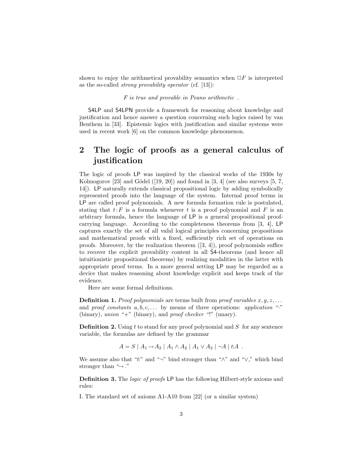shown to enjoy the arithmetical provability semantics when  $\Box F$  is interpreted as the so-called strong provability operator (cf. [13]):

F is true and provable in Peano arithmetic .

S4LP and S4LPN provide a framework for reasoning about knowledge and justification and hence answer a question concerning such logics raised by van Benthem in [33]. Epistemic logics with justification and similar systems were used in recent work [6] on the common knowledge phenomenon.

## 2 The logic of proofs as a general calculus of justification

The logic of proofs LP was inspired by the classical works of the 1930s by Kolmogorov [23] and Gödel  $([19, 20])$  and found in [3, 4] (see also surveys [5, 7, 14]). LP naturally extends classical propositional logic by adding symbolically represented proofs into the language of the system. Internal proof terms in LP are called proof polynomials. A new formula formation rule is postulated, stating that  $t: F$  is a formula whenever t is a proof polynomial and F is an arbitrary formula, hence the language of LP is a general propositional proofcarrying language. According to the completeness theorems from [3, 4], LP captures exactly the set of all valid logical principles concerning propositions and mathematical proofs with a fixed, sufficiently rich set of operations on proofs. Moreover, by the realization theorem  $(3, 4)$ , proof polynomials suffice to recover the explicit provability content in all S4-theorems (and hence all intuitionistic propositional theorems) by realizing modalities in the latter with appropriate proof terms. In a more general setting LP may be regarded as a device that makes reasoning about knowledge explicit and keeps track of the evidence.

Here are some formal definitions.

**Definition 1.** Proof polynomials are terms built from proof variables  $x, y, z, \ldots$ and proof constants  $a, b, c, \ldots$  by means of three operations: application "." (binary), union "+" (binary), and proof checker "!" (unary).

**Definition 2.** Using t to stand for any proof polynomial and  $S$  for any sentence variable, the formulas are defined by the grammar

 $A = S | A_1 \rightarrow A_2 | A_1 \wedge A_2 | A_1 \vee A_2 | \neg A | t:A$ .

We assume also that "t:" and "¬" bind stronger than " $\wedge$ " and " $\vee$ ," which bind stronger than " $\rightarrow$ ."

Definition 3. The logic of proofs LP has the following Hilbert-style axioms and rules:

I. The standard set of axioms A1-A10 from [22] (or a similar system)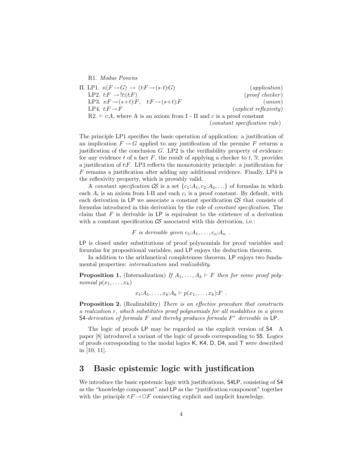R1. Modus Ponens II. LP1.  $s:(F \to G) \to (t:F \to (s \cdot t):G)$  (application) LP2.  $t: F \to \text{!}t:(t:F)$  (proof checker) LP3.  $s:F \rightarrow (s+t):F$ ,  $t:F \rightarrow (s+t):F$  (union)<br>LP4.  $t:F \rightarrow F$  (explicit reflexivity)  $\text{(explicit reflexivity)}$ R2.  $\vdash c:A$ , where A is an axiom from I - II and c is a proof constant (constant specification rule)

The principle LP1 specifies the basic operation of application: a justification of an implication  $F \to G$  applied to any justification of the premise F returns a justification of the conclusion  $G$ . LP2 is the verifiability property of evidence: for any evidence t of a fact  $F$ , the result of applying a checker to t,  $\mu$ , provides a justification of t:F. LP3 reflects the monotonicity principle: a justification for F remains a justification after adding any additional evidence. Finally, LP4 is the reflexivity property, which is provably valid.

A constant specification  $\mathcal{CS}$  is a set  $\{c_1:A_1,c_2:A_2,\ldots\}$  of formulas in which each  $A_i$  is an axiom from I-II and each  $c_i$  is a proof constant. By default, with each derivation in LP we associate a constant specification  $\mathcal{CS}$  that consists of formulas introduced in this derivation by the rule of constant specification. The claim that  $F$  is derivable in  $LP$  is equivalent to the existence of a derivation with a constant specification  $\mathcal{CS}$  associated with this derivation, i.e.:

F is derivable given  $c_1:A_1,\ldots,c_n:A_n$ .

LP is closed under substitutions of proof polynomials for proof variables and formulas for propositional variables, and LP enjoys the deduction theorem.

In addition to the arithmetical completeness theorem, LP enjoys two fundamental properties: internalization and realizability.

**Proposition 1.** (Internalization) If  $A_1, \ldots, A_k \vdash F$  then for some proof polynomial  $p(x_1, \ldots, x_k)$ 

$$
x_1:A_1,\ldots,x_k:A_k\vdash p(x_1,\ldots,x_k):F.
$$

**Proposition 2.** (Realizability) There is an effective procedure that constructs a realization r, which substitutes proof polynomials for all modalities in a given S4-derivation of formula  $F$  and thereby produces formula  $F<sup>r</sup>$  derivable in LP.

The logic of proofs LP may be regarded as the explicit version of S4. A paper [8] introduced a variant of the logic of proofs corresponding to S5. Logics of proofs corresponding to the modal logics K, K4, D, D4, and T were described in [10, 11].

### 3 Basic epistemic logic with justification

We introduce the basic epistemic logic with justifications, S4LP, consisting of S4 as the "knowledge component" and LP as the "justification component" together with the principle  $t:F\!\rightarrow\!\Box F$  connecting explicit and implicit knowledge.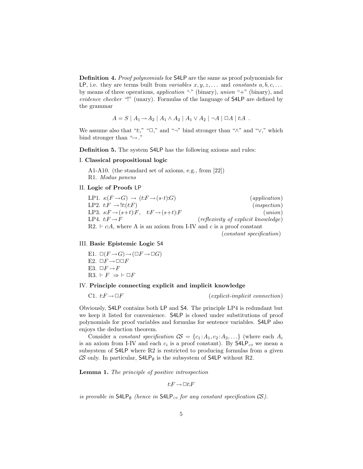Definition 4. Proof polynomials for S4LP are the same as proof polynomials for LP, i.e. they are terms built from variables  $x, y, z, \ldots$  and constants  $a, b, c, \ldots$ by means of three operations, *application* " $\cdot$ " (binary), union " $\cdot$ " (binary), and evidence checker "!" (unary). Formulas of the language of S4LP are defined by the grammar

$$
A = S | A_1 \to A_2 | A_1 \land A_2 | A_1 \lor A_2 | \neg A | \Box A | t:A .
$$

We assume also that "t:," " $\Box$ ," and "¬" bind stronger than " $\wedge$ " and " $\vee$ ," which bind stronger than " $\rightarrow$ ."

Definition 5. The system S4LP has the following axioms and rules:

#### I. Classical propositional logic

A1-A10. (the standard set of axioms, e.g., from [22]) R1. Modus ponens

#### II. Logic of Proofs LP

LP1.  $s:(F \to G) \to (t:F \to (s\cdot t):G)$  (application) LP2.  $t: F \to \ell t(t:F)$  (inspection) LP3.  $s: F \rightarrow (s+t): F$ ,  $t: F \rightarrow (s+t): F$  (union) LP4.  $t: F \to F$  (reflexivity of explicit knowledge)  $R2. \vdash c.A$ , where A is an axiom from I-IV and c is a proof constant

#### (constant specification)

### III. Basic Epistemic Logic S4

E1.  $\square(F \rightarrow G) \rightarrow (\square F \rightarrow \square G)$ E2.  $\Box F \rightarrow \Box \Box F$ E3.  $\Box F \rightarrow F$ R3.  $\vdash F \Rightarrow \vdash \Box F$ 

### IV. Principle connecting explicit and implicit knowledge

C1.  $t: F \to \Box F$  (explicit-implicit connection)

Obviously, S4LP contains both LP and S4. The principle LP4 is redundant but we keep it listed for convenience. S4LP is closed under substitutions of proof polynomials for proof variables and formulas for sentence variables. S4LP also enjoys the deduction theorem.

Consider a constant specification  $\mathcal{C} = \{c_1 : A_1, c_2 : A_2, \ldots\}$  (where each  $A_i$ is an axiom from I-IV and each  $c_i$  is a proof constant). By  $\mathsf{S4LP}_{cs}$  we mean a subsystem of S4LP where R2 is restricted to producing formulas from a given CS only. In particular,  $\mathsf{S4LP}_{\emptyset}$  is the subsystem of  $\mathsf{S4LP}$  without R2.

Lemma 1. The principle of positive introspection

 $t: F \to \Box t: F$ 

is provable in  $\mathsf{S4LP}_{\emptyset}$  (hence in  $\mathsf{S4LP}_{\text{CS}}$  for any constant specification  $\mathcal{CS}$ ).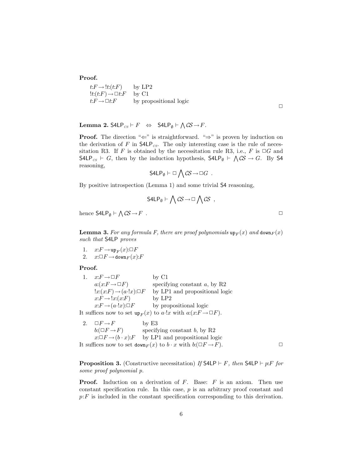Proof.

 $t: F \to \mathord{!t}: (t:F)$  by LP2  $!t:(t:F) \rightarrow \Box t:F$  by C1  $t: F \to \Box t: F$  by propositional logic

 $\Box$ 

Lemma 2.  $\mathsf{S4LP}_{CS} \vdash F \Leftrightarrow \mathsf{S4LP}_{\emptyset} \vdash \bigwedge \mathcal{CS} \rightarrow F.$ 

**Proof.** The direction " $\Leftarrow$ " is straightforward. " $\Rightarrow$ " is proven by induction on the derivation of  $F$  in  $\mathsf{S4LP}_{\mathit{CS}}$ . The only interesting case is the rule of necessitation R3. If F is obtained by the necessitation rule R3, i.e., F is  $\Box G$  and  $\mathsf{S4LP}_{cs} \vdash G$ , then by the induction hypothesis,  $\mathsf{S4LP}_{\emptyset} \vdash \bigwedge \mathcal{CS} \to G$ . By  $\mathsf{S4}$ reasoning,  $\mathbf{A}$ 

$$
\mathsf{S4LP}_{\emptyset} \vdash \Box \bigwedge \mathcal{CS} \rightarrow \Box G \ .
$$

By positive introspection (Lemma 1) and some trivial S4 reasoning,

$$
\mathsf{S4LP}_{\emptyset} \vdash \bigwedge \mathcal{CS} \rightarrow \Box \bigwedge \mathcal{CS} ,
$$

hence  $\mathsf{S4LP}_{\emptyset} \vdash \bigwedge \mathcal{CS} \rightarrow F$ .

**Lemma 3.** For any formula F, there are proof polynomials  $\mathbf{u}_{F}(x)$  and  $\mathbf{d}_{\mathbf{v}}(x)$ such that S4LP proves

1.  $x: F \to \text{up}_F(x): \Box F$ 2.  $x:\Box F\to\mathrm{down}_F(x):F$ 

#### Proof.

1.  $x: F \to \Box F$  by C1  $a:(x \cdot F \rightarrow \Box F)$  specifying constant a, by R2  $!x:(x:F) \rightarrow (a \cdot !x): \Box F$  by LP1 and propositional logic  $x: F \to \exists x: (x:F)$  by LP2  $x: F \to (a \cdot ! x): \Box F$  by propositional logic It suffices now to set  $\text{up}_F(x)$  to a·!x with  $a:(x:F \to \Box F)$ .

2.  $\Box F \rightarrow F$  by E3  $b:(\Box F \rightarrow F)$  specifying constant b, by R2  $x:\Box F \rightarrow (b \cdot x):F$  by LP1 and propositional logic It suffices now to set  $\text{down}_F(x)$  to  $b \cdot x$  with  $b:(\Box F \rightarrow F)$ .

**Proposition 3.** (Constructive necessitation) If  $\mathsf{S4LP} \vdash F$ , then  $\mathsf{S4LP} \vdash p:F$  for some proof polynomial p.

**Proof.** Induction on a derivation of  $F$ . Base:  $F$  is an axiom. Then use constant specification rule. In this case, p is an arbitrary proof constant and  $p: F$  is included in the constant specification corresponding to this derivation.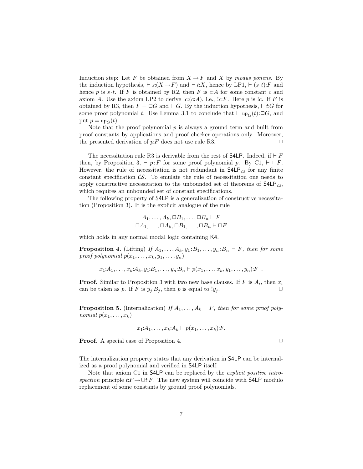Induction step: Let F be obtained from  $X \to F$  and X by modus ponens. By the induction hypothesis,  $\vdash s:(X \to F)$  and  $\vdash t:X$ , hence by LP1,  $\vdash (s \cdot t):F$  and hence p is s.t. If F is obtained by R2, then F is c:A for some constant c and axiom A. Use the axiom LP2 to derive  $lc(c:A)$ , i.e.,  $lc.F$ . Here p is  $lc$ . If F is obtained by R3, then  $F = \Box G$  and  $\vdash G$ . By the induction hypothesis,  $\vdash t:G$  for some proof polynomial t. Use Lemma 3.1 to conclude that  $\vdash$  up<sub>G</sub>(t): $\Box G$ , and put  $p = \text{up}_G(t)$ .

Note that the proof polynomial  $p$  is always a ground term and built from proof constants by applications and proof checker operations only. Moreover, the presented derivation of  $p: F$  does not use rule R3.  $\Box$ 

The necessitation rule R3 is derivable from the rest of S4LP. Indeed, if  $\vdash F$ then, by Proposition 3,  $\vdash p: F$  for some proof polynomial p. By C1,  $\vdash \Box F$ . However, the rule of necessitation is not redundant in  $\mathsf{S4LP}_{CS}$  for any finite constant specification  $\mathcal{CS}$ . To emulate the rule of necessitation one needs to apply constructive necessitation to the unbounded set of theorems of  $\mathsf{S4LP}_{CS}$ , which requires an unbounded set of constant specifications.

The following property of S4LP is a generalization of constructive necessitation (Proposition 3). It is the explicit analogue of the rule

$$
\frac{A_1, \dots, A_k, \Box B_1, \dots, \Box B_n \vdash F}{\Box A_1, \dots, \Box A_k, \Box B_1, \dots, \Box B_n \vdash \Box F}
$$

which holds in any normal modal logic containing K4.

**Proposition 4.** (Lifting) If  $A_1, \ldots, A_k, y_1 : B_1, \ldots, y_n : B_n \vdash F$ , then for some proof polynomial  $p(x_1, \ldots, x_k, y_1, \ldots, y_n)$ 

$$
x_1:A_1,\ldots,x_k:A_k,y_1:B_1,\ldots,y_n:B_n\vdash p(x_1,\ldots,x_k,y_1,\ldots,y_n):F
$$
.

**Proof.** Similar to Proposition 3 with two new base clauses. If F is  $A_i$ , then  $x_i$ can be taken as p. If F is  $y_j:B_j$ , then p is equal to  $!y_j$ .

**Proposition 5.** (Internalization) If  $A_1, \ldots, A_k \vdash F$ , then for some proof polynomial  $p(x_1, \ldots, x_k)$ 

$$
x_1:A_1,\ldots,x_k:A_k\vdash p(x_1,\ldots,x_k):F.
$$

**Proof.** A special case of Proposition 4.  $\Box$ 

The internalization property states that any derivation in S4LP can be internalized as a proof polynomial and verified in S4LP itself.

Note that axiom C1 in S4LP can be replaced by the *explicit positive intro*spection principle  $t: F \to \Box t: F$ . The new system will coincide with S4LP modulo replacement of some constants by ground proof polynomials.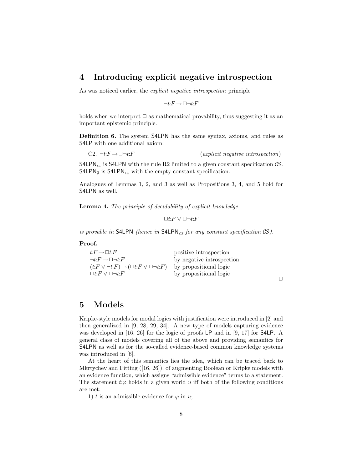## 4 Introducing explicit negative introspection

As was noticed earlier, the explicit negative introspection principle

$$
\neg t\text{:}F \rightarrow \Box \neg t\text{:}F
$$

holds when we interpret  $\Box$  as mathematical provability, thus suggesting it as an important epistemic principle.

Definition 6. The system S4LPN has the same syntax, axioms, and rules as S4LP with one additional axiom:

C2.  $\neg t: F \to \Box \neg t: F$  (explicit negative introspection)

S4LPN<sub>cs</sub> is S4LPN with the rule R2 limited to a given constant specification  $\mathcal{CS}$ .  $S4LPN_{\emptyset}$  is  $S4LPN_{CS}$  with the empty constant specification.

Analogues of Lemmas 1, 2, and 3 as well as Propositions 3, 4, and 5 hold for S4LPN as well.

Lemma 4. The principle of decidability of explicit knowledge

 $□t: F ∨ □¬t: F$ 

is provable in S4LPN (hence in S4LPN<sub>CS</sub> for any constant specification  $CS$ ).

#### Proof.

| $t: F \to \Box t: F$                                                | positive introspection    |
|---------------------------------------------------------------------|---------------------------|
| $\neg t$ : $F \rightarrow \Box \neg t$ : $F$                        | by negative introspection |
| $(t: F \vee \neg t: F) \rightarrow (\Box t: F \vee \Box \neg t: F)$ | by propositional logic    |
| $\Box t$ : $F \vee \Box \neg t$ : $F$                               | by propositional logic    |

 $\Box$ 

## 5 Models

Kripke-style models for modal logics with justification were introduced in [2] and then generalized in [9, 28, 29, 34]. A new type of models capturing evidence was developed in [16, 26] for the logic of proofs LP and in [9, 17] for S4LP. A general class of models covering all of the above and providing semantics for S4LPN as well as for the so-called evidence-based common knowledge systems was introduced in  $[6]$ .

At the heart of this semantics lies the idea, which can be traced back to Mkrtychev and Fitting ([16, 26]), of augmenting Boolean or Kripke models with an evidence function, which assigns "admissible evidence" terms to a statement. The statement  $t:\varphi$  holds in a given world u iff both of the following conditions are met:

1) t is an admissible evidence for  $\varphi$  in u;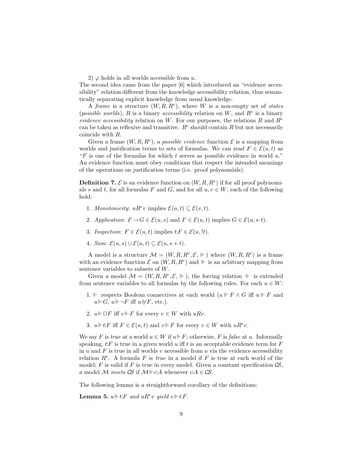2)  $\varphi$  holds in all worlds accessible from u.

The second idea came from the paper [6] which introduced an "evidence accessibility" relation different from the knowledge accessibility relation, thus semantically separating explicit knowledge from usual knowledge.

A frame is a structure  $(W, R, R^e)$ , where W is a non-empty set of states (possible worlds), R is a binary accessibility relation on W, and  $R^e$  is a binary evidence accessibility relation on W. For our purposes, the relations R and  $R^e$ can be taken as reflexive and transitive.  $R^e$  should contain R but not necessarily coincide with R.

Given a frame  $(W, R, R^e)$ , a *possible evidence* function  $\mathcal E$  is a mapping from worlds and justification terms to sets of formulas. We can read  $F \in \mathcal{E}(u, t)$  as "F is one of the formulas for which t serves as possible evidence in world  $u$ ." An evidence function must obey conditions that respect the intended meanings of the operations on justification terms (i.e. proof polynomials).

**Definition 7.**  $\mathcal{E}$  is an evidence function on  $(W, R, R^e)$  if for all proof polynomials s and t, for all formulas F and G, and for all  $u, v \in W$ , each of the following hold:

- 1. Monotonicity:  $uR^ev$  implies  $\mathcal{E}(u,t) \subseteq \mathcal{E}(v,t)$ .
- 2. Application:  $F \to G \in \mathcal{E}(u, s)$  and  $F \in \mathcal{E}(u, t)$  implies  $G \in \mathcal{E}(u, s \cdot t)$ .
- 3. Inspection:  $F \in \mathcal{E}(u, t)$  implies  $t: F \in \mathcal{E}(u, t)$ .
- 4. Sum:  $\mathcal{E}(u, s) \cup \mathcal{E}(u, t) \subseteq \mathcal{E}(u, s+t)$ .

A model is a structure  $\mathcal{M} = (W, R, R^e, \mathcal{E}, \Vdash)$  where  $(W, R, R^e)$  is a frame with an evidence function  $\mathcal E$  on  $(W, R, R^e)$  and  $\Vdash$  is an arbitrary mapping from sentence variables to subsets of W.

Given a model  $\mathcal{M} = (W, R, R^e, \mathcal{E}, \Vdash)$ , the forcing relation  $\Vdash$  is extended from sentence variables to all formulas by the following rules. For each  $u \in W$ :

- 1. ⊩ respects Boolean connectives at each world  $(u \Vdash F \wedge G$  iff  $u \Vdash F$  and  $u \Vdash G$ ,  $u \Vdash \neg F$  iff  $u \Vdash F$ , etc.).
- 2.  $u \Vdash \Box F$  iff  $v \Vdash F$  for every  $v \in W$  with  $uRv$ .
- 3.  $u \Vdash t: F$  iff  $F \in \mathcal{E}(u, t)$  and  $v \Vdash F$  for every  $v \in W$  with  $u R^e v$ .

We say F is true at a world  $u \in W$  if  $u \Vdash F$ ; otherwise, F is false at u. Informally speaking,  $t$ : F is true in a given world u iff t is an acceptable evidence term for F in u and  $F$  is true in all worlds v accessible from u via the evidence accessibility relation  $R^e$ . A formula F is true in a model if F is true at each world of the model; F is valid if F is true in every model. Given a constant specification  $\mathcal{CS}$ , a model M meets CS if  $\mathcal{M} \models c: A \in \mathcal{CS}$ .

The following lemma is a straightforward corollary of the definitions:

**Lemma 5.**  $u \Vdash t$ : F and  $uR^ev$  yield  $v \Vdash t$ : F.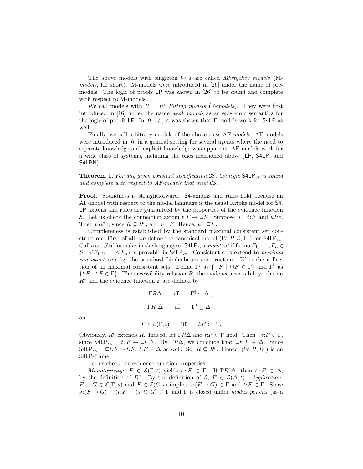The above models with singleton W's are called Mkrtychev models (Mmodels, for short). M-models were introduced in [26] under the name of premodels. The logic of proofs LP was shown in [26] to be sound and complete with respect to M-models.

We call models with  $R = R^e$  Fitting models (F-models). They were first introduced in [16] under the name weak models as an epistemic semantics for the logic of proofs LP. In [9, 17], it was shown that F-models work for S4LP as well.

Finally, we call arbitrary models of the above class AF-models. AF-models were introduced in [6] in a general setting for several agents where the need to separate knowledge and explicit knowledge was apparent. AF-models work for a wide class of systems, including the ones mentioned above (LP, S4LP, and S4LPN).

**Theorem 1.** For any given constant specification  $\mathcal{CS}$ , the logic  $\mathsf{S4LP}_{cs}$  is sound and complete with respect to AF-models that meet CS.

Proof. Soundness is straightforward. S4-axioms and rules hold because an AF-model with respect to the modal language is the usual Kripke model for S4. LP axioms and rules are guaranteed by the properties of the evidence function  $\mathcal E$ . Let us check the connection axiom  $t: F \to \Box F$ . Suppose  $u \Vdash t: F$  and  $uRv$ . Then  $u R^e v$ , since  $R \subseteq R^e$ , and  $v \Vdash F$ . Hence,  $u \Vdash \Box F$ .

Completeness is established by the standard maximal consistent set construction. First of all, we define the canonical model  $(W, R, \mathcal{E}, \Vdash)$  for S4LP<sub>CS</sub>. Call a set S of formulas in the language of  $\mathsf{S4LP}_{cs}$  consistent if for no  $F_1, \ldots, F_n \in$  $S, \neg (F_1 \land \dots \land F_n)$  is provable in S4LP<sub>cs</sub>. Consistent sets extend to maximal consistent sets by the standard Lindenbaum construction. W is the collection of all maximal consistent sets. Define  $\Gamma^{\sharp}$  as  $\{\Box F \mid \Box F \in \Gamma\}$  and  $\Gamma^{\flat}$  as  $\{t: F \mid t: F \in \Gamma\}$ . The accessibility relation R, the evidence accessibility relation  $R^e$  and the evidence function  $\mathcal E$  are defined by

$$
\Gamma R \Delta \quad \text{iff} \quad \Gamma^{\sharp} \subseteq \Delta ,
$$
  

$$
\Gamma R^e \Delta \quad \text{iff} \quad \Gamma^{\flat} \subseteq \Delta ,
$$

and

$$
F \in \mathcal{E}(\Gamma, t) \quad \text{iff} \quad t \colon F \in \Gamma \ .
$$

Obviously,  $R^e$  extends R. Indeed, let  $\Gamma R\Delta$  and  $t: F \in \Gamma$  hold. Then  $\Box t: F \in \Gamma$ , since  $\mathsf{S4LP}_{cs} \vdash t: F \to \Box t: F$ . By  $\Gamma R\Delta$ , we conclude that  $\Box t: F \in \Delta$ . Since  $\mathsf{S4LP}_{cs} \vdash \Box t: F \to t: F, t: F \in \Delta \text{ as well. So, } R \subseteq R^e. \text{ Hence, } (W, R, R^e) \text{ is an }$ S4LP-frame.

Let us check the evidence function properties.

Monotonicity:  $F \in \mathcal{E}(\Gamma, t)$  yields  $t : F \in \Gamma$ . If  $\Gamma R^e \Delta$ , then  $t : F \in \Delta$ , by the definition of  $R^e$ . By the definition of  $\mathcal{E}, F \in \mathcal{E}(\Delta, t)$ . Application:  $F \to G \in \mathcal{E}(\Gamma, s)$  and  $F \in \mathcal{E}(G, t)$  implies  $s: (F \to G) \in \Gamma$  and  $t: F \in \Gamma$ . Since  $s:(F \to G) \to (t:F \to (s\cdot t):G) \in \Gamma$  and  $\Gamma$  is closed under modus ponens (as a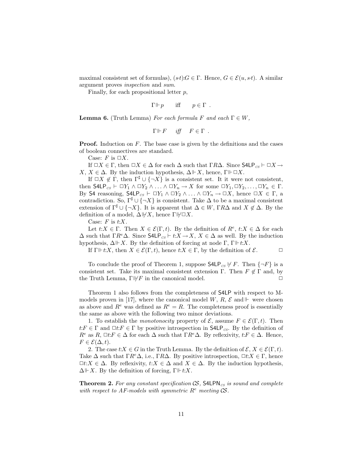maximal consistent set of formulas),  $(st)$ : $G \in \Gamma$ . Hence,  $G \in \mathcal{E}(u, st)$ . A similar argument proves inspection and sum.

Finally, for each propositional letter  $p$ ,

$$
\Gamma \Vdash p \qquad \text{iff} \qquad p \in \Gamma \enspace .
$$

**Lemma 6.** (Truth Lemma) For each formula F and each  $\Gamma \in W$ ,

$$
\Gamma \Vdash F \quad \text{iff} \quad F \in \Gamma \ .
$$

**Proof.** Induction on  $F$ . The base case is given by the definitions and the cases of boolean connectives are standard.

Case: F is  $\Box X$ .

If  $\Box X \in \Gamma$ , then  $\Box X \in \Delta$  for each  $\Delta$  such that  $\Gamma R\Delta$ . Since  $\mathsf{S4LP}_{CS} \vdash \Box X \rightarrow \mathsf{S4LP}_{CS}$  $X, X \in \Delta$ . By the induction hypothesis,  $\Delta \Vdash X$ , hence,  $\Gamma \Vdash \Box X$ .

If  $\Box X \notin \Gamma$ , then  $\Gamma^{\sharp} \cup \{\neg X\}$  is a consistent set. It it were not consistent, then  $\mathsf{S4LP}_{cs} \vdash \Box Y_1 \land \Box Y_2 \land \ldots \land \Box Y_n \to X$  for some  $\Box Y_1, \Box Y_2, \ldots, \Box Y_n \in \Gamma$ . By S4 reasoning,  $\mathsf{S4LP}_{cs} \vdash \Box Y_1 \land \Box Y_2 \land \ldots \land \Box Y_n \to \Box X$ , hence  $\Box X \in \Gamma$ , a contradiction. So,  $\Gamma^{\sharp} \cup \{\neg X\}$  is consistent. Take  $\Delta$  to be a maximal consistent extension of  $\Gamma^{\sharp} \cup \{\neg X\}$ . It is apparent that  $\Delta \in W$ ,  $\Gamma R\Delta$  and  $X \notin \Delta$ . By the definition of a model,  $\Delta \forall X$ , hence Γ $\nexists X$ .

Case:  $F$  is  $t:X$ .

Let  $t: X \in \Gamma$ . Then  $X \in \mathcal{E}(\Gamma, t)$ . By the definition of  $R^e$ ,  $t: X \in \Delta$  for each  $\Delta$  such that  $\Gamma R^e \Delta$ . Since  $\mathsf{S4LP}_{cs} \vdash t: X \to X, X \in \Delta$  as well. By the induction hypothesis,  $\Delta \Vdash X$ . By the definition of forcing at node Γ, Γ $\Vdash t:X$ .

If  $\Gamma \Vdash t:X$ , then  $X \in \mathcal{E}(\Gamma, t)$ , hence  $t:X \in \Gamma$ , by the definition of  $\mathcal{E}$ .

To conclude the proof of Theorem 1, suppose  $\mathsf{S4LP}_{cs} \nvdash F$ . Then  $\{\neg F\}$  is a consistent set. Take its maximal consistent extension  $\Gamma$ . Then  $F \notin \Gamma$  and, by the Truth Lemma,  $\Gamma \not\vdash F$  in the canonical model.  $\Box$ 

Theorem 1 also follows from the completeness of S4LP with respect to Mmodels proven in [17], where the canonical model W, R,  $\mathcal{E}$  and  $\mathbb{F}$  were chosen as above and  $R^e$  was defined as  $R^e = R$ . The completeness proof is essentially the same as above with the following two minor deviations.

1. To establish the *monotonocity* property of  $\mathcal{E}$ , assume  $F \in \mathcal{E}(\Gamma, t)$ . Then  $t: F \in \Gamma$  and  $\Box t: F \in \Gamma$  by positive introspection in  $\mathsf{S4LP}_{CS}$ . By the definition of  $R^e$  as  $R, \Box t: F \in \Delta$  for each  $\Delta$  such that  $\Gamma R^e \Delta$ . By reflexivity,  $t: F \in \Delta$ . Hence,  $F \in \mathcal{E}(\Delta, t).$ 

2. The case  $t:X \in G$  in the Truth Lemma. By the definition of  $\mathcal{E}, X \in \mathcal{E}(\Gamma, t)$ . Take  $\Delta$  such that  $\Gamma R^e \Delta$ , i.e.,  $\Gamma R \Delta$ . By positive introspection,  $\Box t: X \in \Gamma$ , hence  $\Box t: X \in \Delta$ . By reflexivity,  $t: X \in \Delta$  and  $X \in \Delta$ . By the induction hypothesis,  $\Delta \Vdash X$ . By the definition of forcing,  $\Gamma \Vdash t:X$ .

**Theorem 2.** For any constant specification  $\mathcal{CS}$ , S4LPN<sub>CS</sub> is sound and complete with respect to AF-models with symmetric  $R^e$  meeting  $\mathcal{CS}$ .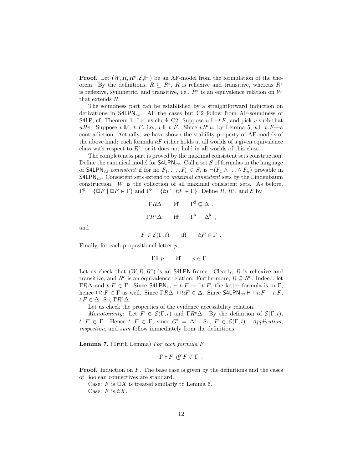**Proof.** Let  $(W, R, R^e, \mathcal{E}, \Vdash)$  be an AF-model from the formulation of the theorem. By the definitions,  $R \subseteq R^e$ , R is reflexive and transitive, whereas  $R^e$ is reflexive, symmetric, and transitive, i.e.,  $R^e$  is an equivalence relation on W that extends R.

The soundness part can be established by a straightforward induction on derivations in  $\mathsf{S4LPN}_{\mathsf{CS}}$ . All the cases but C2 follow from AF-soundness of S4LP, cf. Theorem 1. Let us check C2. Suppose  $u \Vdash \neg t : F$ , and pick v such that uRv. Suppose  $v \not\Vdash \neg t: F$ , i.e.,  $v \Vdash t: F$ . Since  $vR^e u$ , by Lemma 5,  $u \Vdash t: F \longrightarrow a$ contradiction. Actually, we have shown the stability property of AF-models of the above kind: each formula  $t$ :  $F$  either holds at all worlds of a given equivalence class with respect to  $R^e$ , or it does not hold in all worlds of this class.

The completeness part is proved by the maximal consistent sets construction. Define the canonical model for  $\mathsf{S4LPN}_{\mathsf{CS}}$ . Call a set S of formulas in the language of S4LPN<sub>cs</sub> consistent if for no  $F_1, \ldots, F_n \in S$ , is  $\neg(F_1 \wedge \ldots \wedge F_n)$  provable in  $S4LPN_{CS}$ . Consistent sets extend to *maximal consistent* sets by the Lindenbaum construction. W is the collection of all maximal consistent sets. As before,  $\Gamma^{\sharp} = {\Box F \mid \Box F \in \Gamma} \text{ and } \Gamma^{\flat} = {\lbrace t:F \mid t:F \in \Gamma \rbrace}.$  Define R,  $R^{e}$ , and E by

$$
\Gamma R \Delta \quad \text{iff} \quad \Gamma^{\sharp} \subseteq \Delta ,
$$
  

$$
\Gamma R^e \Delta \quad \text{iff} \quad \Gamma^{\flat} = \Delta^{\flat} ,
$$

and

$$
F \in \mathcal{E}(\Gamma, t) \quad \text{iff} \quad t \colon F \in \Gamma \ .
$$

Finally, for each propositional letter  $p$ ,

$$
\Gamma \Vdash p
$$
 iff  $p \in \Gamma$ .

Let us check that  $(W, R, R^e)$  is an S4LPN-frame. Clearly, R is reflexive and transitive, and  $R^e$  is an equivalence relation. Furthermore,  $R \subseteq R^e$ . Indeed, let  $\Gamma R\Delta$  and  $t: F \in \Gamma$ . Since  $\mathsf{S4LPN}_{\mathit{CS}} \vdash t: F \to \Box t: F$ , the latter formula is in  $\Gamma$ , hence  $\Box t$ :  $F \in \Gamma$  as well. Since  $\Gamma R\Delta$ ,  $\Box t$ :  $F \in \Delta$ . Since  $\mathsf{S4LPN}_{CS} \vdash \Box t$ :  $F \to t$ :  $F$ ,  $t: F \in \Delta$ . So,  $\Gamma R^e \Delta$ .

Let us check the properties of the evidence accessibility relation.

Monotonicity: Let  $F \in \mathcal{E}(\Gamma, t)$  and  $\Gamma R^e \Delta$ . By the definition of  $\mathcal{E}(\Gamma, t)$ ,  $t: F \in \Gamma$ . Hence  $t: F \in \Gamma$ , since  $G^{\flat} = \Delta^{\flat}$ . So,  $F \in \mathcal{E}(\Gamma, t)$ . Application, inspection, and sum follow immediately from the definitions.

**Lemma 7.** (Truth Lemma) For each formula  $F$ ,

$$
\Gamma \Vdash F \text{ iff } F \in \Gamma .
$$

**Proof.** Induction on  $F$ . The base case is given by the definitions and the cases of Boolean connectives are standard.

Case: F is  $\Box X$  is treated similarly to Lemma 6. Case:  $F$  is  $t:X$ .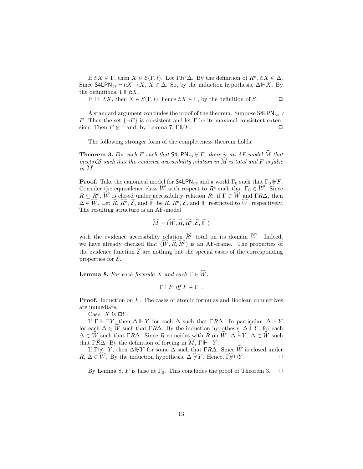If  $t: X \in \Gamma$ , then  $X \in \mathcal{E}(\Gamma, t)$ . Let  $\Gamma R^e \Delta$ . By the definition of  $R^e$ ,  $t: X \in \Delta$ . Since  $\mathsf{S4LPN}_{cs} \vdash t: X \to X, X \in \Delta$ . So, by the induction hypothesis,  $\Delta \Vdash X$ . By the definitions,  $\Gamma \Vdash t:X$ .

If  $\Gamma \Vdash t:X$ , then  $X \in \mathcal{E}(\Gamma, t)$ , hence  $t:X \in \Gamma$ , by the definition of  $\mathcal{E}$ .

A standard argument concludes the proof of the theorem. Suppose  $\mathsf{S4LPN}_{CS}$   $\forall$ F. Then the set  $\{\neg F\}$  is consistent and let  $\Gamma$  be its maximal consistent extension. Then  $F \notin \Gamma$  and, by Lemma 7,  $\Gamma \not\vdash F$ .

The following stronger form of the completeness theorem holds:

**Theorem 3.** For each F such that  $\mathsf{S4LPN}_{\mathsf{CS}} \not\vdash F$ , there is an AF-model  $\widehat{M}$  that meets CS such that the evidence accessibility relation in  $\widehat{M}$  is total and F is false  $in M.$ 

**Proof.** Take the canonical model for **S4LPN**<sub>cs</sub> and a world  $\Gamma_0$  such that  $\Gamma_0 \not\vdash F$ . Consider the equivalence class  $\widehat{W}$  with respect to  $R^e$  such that  $\Gamma_0 \in \widehat{W}$ . Since  $R \subseteq R^e$ ,  $\widehat{W}$  is closed under accessibility relation R: if  $\Gamma \in \widehat{W}$  and  $\Gamma R\Delta$ , then  $\Delta \in \widehat{W}$ . Let  $\widehat{R}, \widehat{R^e}, \widehat{\mathcal{E}},$  and  $\widehat{\mathbb{P}}$  be  $R, R^e, \widehat{\mathcal{E}},$  and  $\mathbb{P}$  restricted to  $\widehat{W}$ , respectively. The resulting structure is an AF-model

$$
\widehat{M} = (\widehat{W}, \widehat{R}, \widehat{R^e}, \widehat{\mathcal{E}}, \widehat{\Vdash})
$$

with the evidence accessibility relation  $\widehat{R}^e$  total on its domain  $\widehat{W}$ . Indeed, we have already checked that  $(\widehat{W}, \widehat{R}, \widehat{R^e})$  is an AF-frame. The properties of the evidence function  $\hat{\mathcal{E}}$  are nothing but the special cases of the corresponding properties for  $\mathcal{E}$ .

**Lemma 8.** For each formula X and each  $\Gamma \in \widehat{W}$ ,

$$
\Gamma \Vdash F \text{ iff } F \in \Gamma .
$$

Proof. Induction on F. The cases of atomic formulas and Boolean connectives are immediate.

Case:  $X$  is  $\Box Y$ .

If  $\Gamma \Vdash \Box Y$ , then  $\Delta \Vdash Y$  for each  $\Delta$  such that  $\Gamma R\Delta$ . In particular,  $\Delta \Vdash Y$ for each  $\Delta \in \hat{W}$  such that  $\Gamma R\Delta$ . By the induction hypothesis,  $\Delta \hat{F}Y$ , for each  $\Delta \in \widehat{W}$  such that  $\Gamma R\Delta$ . Since R coincides with  $\widehat{R}$  on  $\widehat{W}, \Delta \widehat{\Vdash} Y, \Delta \in \widehat{W}$  such that  $\Gamma \widehat{R} \Delta$ . By the definition of forcing in  $\widehat{M}$ ,  $\Gamma \widehat{\vdash} \Box Y$ .

If  $\Gamma \Vdash \Box Y$ , then  $\Delta \Vdash Y$  for some  $\Delta$  such that  $\Gamma R\Delta$ . Since  $\widehat{W}$  is closed under  $R, \Delta \in W$ . By the induction hypothesis,  $\Delta \psi Y$ . Hence,  $\hat{\psi} \Box Y$ .

By Lemma 8, F is false at  $\Gamma_0$ . This concludes the proof of Theorem 3.  $\Box$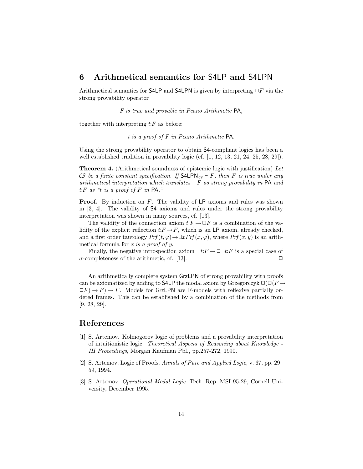## 6 Arithmetical semantics for S4LP and S4LPN

Arithmetical semantics for S4LP and S4LPN is given by interpreting  $\Box F$  via the strong provability operator

F is true and provable in Peano Arithmetic PA,

together with interpreting  $t$ : $F$  as before:

t is a proof of F in Peano Arithmetic PA.

Using the strong provability operator to obtain S4-compliant logics has been a well established tradition in provability logic (cf.  $[1, 12, 13, 21, 24, 25, 28, 29]$ ).

Theorem 4. (Arithmetical soundness of epistemic logic with justification) Let CS be a finite constant specification. If S4LPN<sub>CS</sub>  $\vdash$  F, then F is true under any arithmetical interpretation which translates  $\Box F$  as strong provability in PA and t: $F$  as "t is a proof of  $F$  in PA."

**Proof.** By induction on  $F$ . The validity of  $LP$  axioms and rules was shown in [3, 4]. The validity of S4 axioms and rules under the strong provability interpretation was shown in many sources, cf. [13].

The validity of the connection axiom  $t: F \to \Box F$  is a combination of the validity of the explicit reflection  $t: F \to F$ , which is an LP axiom, already checked, and a first order tautology  $Prf(t, \varphi) \rightarrow \exists x Prf(x, \varphi)$ , where  $Prf(x, y)$  is an arithmetical formula for  $x$  is a proof of  $y$ .

Finally, the negative introspection axiom  $\neg t: F \to \Box \neg t: F$  is a special case of  $\sigma$ -completeness of the arithmetic, cf. [13].  $\Box$ 

An arithmetically complete system GrzLPN of strong provability with proofs can be axiomatized by adding to S4LP the modal axiom by Grzegorczyk  $\square(\square(F\rightarrow$  $\Box F$   $\rightarrow$  F. Models for GrzLPN are F-models with reflexive partially ordered frames. This can be established by a combination of the methods from [9, 28, 29].

## References

- [1] S. Artemov. Kolmogorov logic of problems and a provability interpretation of intuitionistic logic. Theoretical Aspects of Reasoning about Knowledge - III Proceedings, Morgan Kaufman Pbl., pp.257-272, 1990.
- [2] S. Artemov. Logic of Proofs. Annals of Pure and Applied Logic, v. 67, pp. 29– 59, 1994.
- [3] S. Artemov. Operational Modal Logic. Tech. Rep. MSI 95-29, Cornell University, December 1995.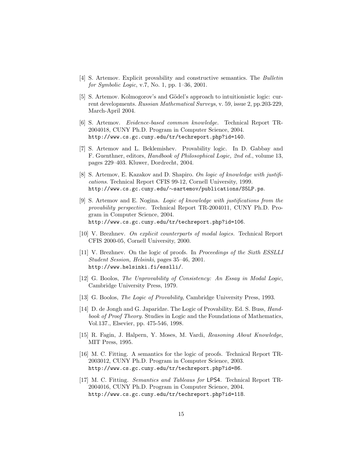- [4] S. Artemov. Explicit provability and constructive semantics. The Bulletin for Symbolic Logic, v.7, No. 1, pp. 1–36, 2001.
- [5] S. Artemov. Kolmogorov's and Gödel's approach to intuitionistic logic: current developments. Russian Mathematical Surveys, v. 59, issue 2, pp.203-229, March-April 2004.
- [6] S. Artemov. Evidence-based common knowledge. Technical Report TR-2004018, CUNY Ph.D. Program in Computer Science, 2004. http://www.cs.gc.cuny.edu/tr/techreport.php?id=140.
- [7] S. Artemov and L. Beklemishev. Provability logic. In D. Gabbay and F. Guenthner, editors, Handbook of Philosophical Logic, 2nd ed., volume 13, pages 229–403. Kluwer, Dordrecht, 2004.
- [8] S. Artemov, E. Kazakov and D. Shapiro. On logic of knowledge with justifications. Technical Report CFIS 99-12, Cornell University, 1999. http://www.cs.gc.cuny.edu/∼sartemov/publications/S5LP.ps.
- [9] S. Artemov and E. Nogina. Logic of knowledge with justifications from the provability perspective. Technical Report TR-2004011, CUNY Ph.D. Program in Computer Science, 2004. http://www.cs.gc.cuny.edu/tr/techreport.php?id=106.
- [10] V. Brezhnev. On explicit counterparts of modal logics. Technical Report CFIS 2000-05, Cornell University, 2000.
- [11] V. Brezhnev. On the logic of proofs. In Proceedings of the Sixth ESSLLI Student Session, Helsinki, pages 35–46, 2001. http://www.helsinki.fi/esslli/.
- [12] G. Boolos, The Unprovability of Consistency: An Essay in Modal Logic, Cambridge University Press, 1979.
- [13] G. Boolos, The Logic of Provability, Cambridge University Press, 1993.
- [14] D. de Jongh and G. Japaridze. The Logic of Provability. Ed. S. Buss, *Hand*book of Proof Theory. Studies in Logic and the Foundations of Mathematics, Vol.137., Elsevier, pp. 475-546, 1998.
- [15] R. Fagin, J. Halpern, Y. Moses, M. Vardi, Reasoning About Knowledge, MIT Press, 1995.
- [16] M. C. Fitting. A semantics for the logic of proofs. Technical Report TR-2003012, CUNY Ph.D. Program in Computer Science, 2003. http://www.cs.gc.cuny.edu/tr/techreport.php?id=86.
- [17] M. C. Fitting. Semantics and Tableaus for LPS4. Technical Report TR-2004016, CUNY Ph.D. Program in Computer Science, 2004. http://www.cs.gc.cuny.edu/tr/techreport.php?id=118.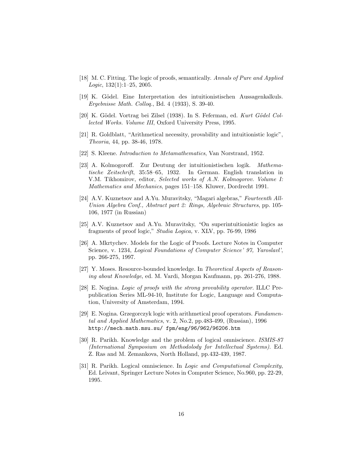- [18] M. C. Fitting. The logic of proofs, semantically. Annals of Pure and Applied  $Logic, 132(1):1-25, 2005.$
- [19] K. Gödel. Eine Interpretation des intuitionistischen Aussagenkalkuls. Ergebnisse Math. Colloq., Bd. 4 (1933), S. 39-40.
- [20] K. Gödel. Vortrag bei Zilsel (1938). In S. Feferman, ed. Kurt Gödel Collected Works. Volume III, Oxford University Press, 1995.
- [21] R. Goldblatt, "Arithmetical necessity, provability and intuitionistic logic", Theoria, 44, pp. 38-46, 1978.
- [22] S. Kleene. Introduction to Metamathematics, Van Norstrand, 1952.
- [23] A. Kolmogoroff. Zur Deutung der intuitionistischen logik. Mathematische Zeitschrift, 35:58–65, 1932. In German. English translation in V.M. Tikhomirov, editor, Selected works of A.N. Kolmogorov. Volume I: Mathematics and Mechanics, pages 151–158. Kluwer, Dordrecht 1991.
- [24] A.V. Kuznetsov and A.Yu. Muravitsky, "Magari algebras," Fourteenth All-Union Algebra Conf., Abstract part 2: Rings, Algebraic Structures, pp. 105- 106, 1977 (in Russian)
- [25] A.V. Kuznetsov and A.Yu. Muravitsky, "On superintuitionistic logics as fragments of proof logic," Studia Logica, v. XLV, pp. 76-99, 1986
- [26] A. Mkrtychev. Models for the Logic of Proofs. Lecture Notes in Computer Science, v. 1234, Logical Foundations of Computer Science' 97, Yaroslavl', pp. 266-275, 1997.
- [27] Y. Moses. Resource-bounded knowledge. In Theoretical Aspects of Reasoning about Knowledge, ed. M. Vardi, Morgan Kaufmann, pp. 261-276, 1988.
- [28] E. Nogina. Logic of proofs with the strong provability operator. ILLC Prepublication Series ML-94-10, Institute for Logic, Language and Computation, University of Amsterdam, 1994.
- [29] E. Nogina. Grzegorczyk logic with arithmetical proof operators. Fundamental and Applied Mathematics, v. 2, No.2, pp.483-499, (Russian), 1996 http://mech.math.msu.su/ fpm/eng/96/962/96206.htm
- [30] R. Parikh. Knowledge and the problem of logical omniscience. ISMIS-87 (International Symposium on Methodolody for Intellectual Systems). Ed. Z. Ras and M. Zemankova, North Holland, pp.432-439, 1987.
- [31] R. Parikh. Logical omniscience. In Logic and Computational Complexity, Ed. Leivant, Springer Lecture Notes in Computer Science, No.960, pp. 22-29, 1995.